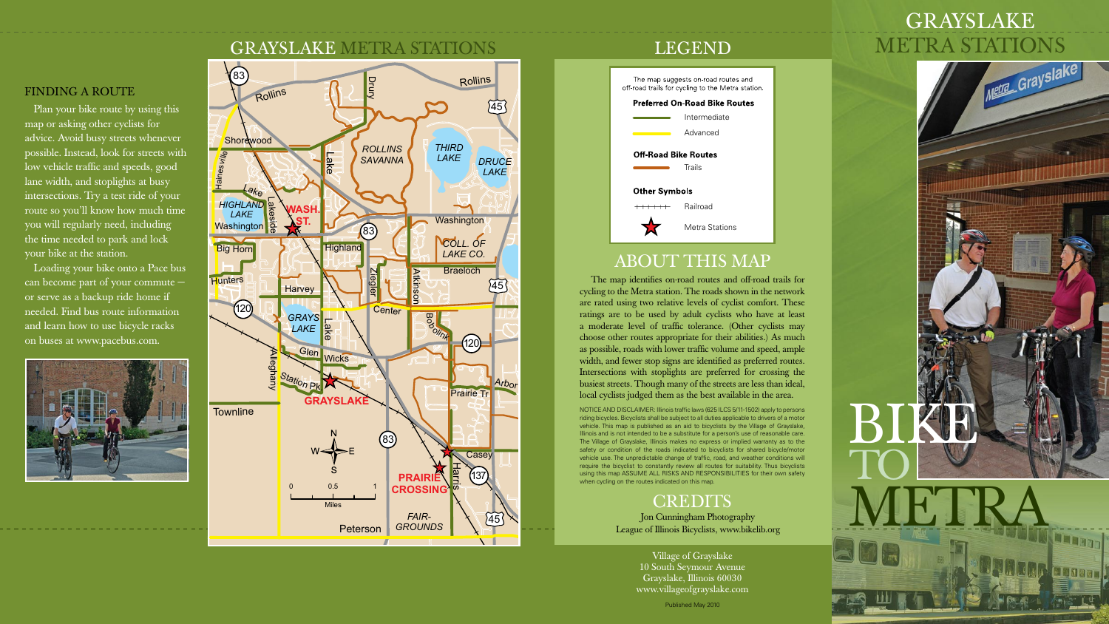## **GRAYSLAKE** METRA STATIONS



Village of Grayslake 10 South Seymour Avenue Grayslake, Illinois 60030 www.villageofgrayslake.com



**MADERI** 

### LEGEND



## ABOUT THIS MAP

The map identifies on-road routes and off-road trails for cycling to the Metra station. The roads shown in the network are rated using two relative levels of cyclist comfort. These ratings are to be used by adult cyclists who have at least a moderate level of traffic tolerance. (Other cyclists may choose other routes appropriate for their abilities.) As much as possible, roads with lower traffic volume and speed, ample width, and fewer stop signs are identified as preferred routes. Intersections with stoplights are preferred for crossing the busiest streets. Though many of the streets are less than ideal, local cyclists judged them as the best available in the area.

NOTICE AND DISCLAIMER: Illinois traffic laws (625 ILCS 5/11-1502) apply to persons riding bicycles. Bicyclists shall be subject to all duties applicable to drivers of a motor vehicle. This map is published as an aid to bicyclists by the Village of Grayslake, Illinois and is not intended to be a substitute for a person's use of reasonable care. The Village of Grayslake, Illinois makes no express or implied warranty as to the safety or condition of the roads indicated to bicyclists for shared bicycle/motor vehicle use. The unpredictable change of traffic, road, and weather conditions will require the bicyclist to constantly review all routes for suitability. Thus bicyclists using this map ASSUME ALL RISKS AND RESPONSIBILITIES for their own safety when cycling on the routes indicated on this map.

## **CREDITS**

Jon Cunningham Photography League of Illinois Bicyclists, www.bikelib.org

Published May 2010

#### FINDING A ROUTE

Plan your bike route by using this map or asking other cyclists for advice. Avoid busy streets whenever possible. Instead, look for streets with low vehicle traffic and speeds, good lane width, and stoplights at busy intersections. Try a test ride of your route so you'll know how much time you will regularly need, including the time needed to park and lock your bike at the station.

Loading your bike onto a Pace bus can become part of your commute − or serve as a backup ride home if needed. Find bus route information and learn how to use bicycle racks on buses at www.pacebus.com.